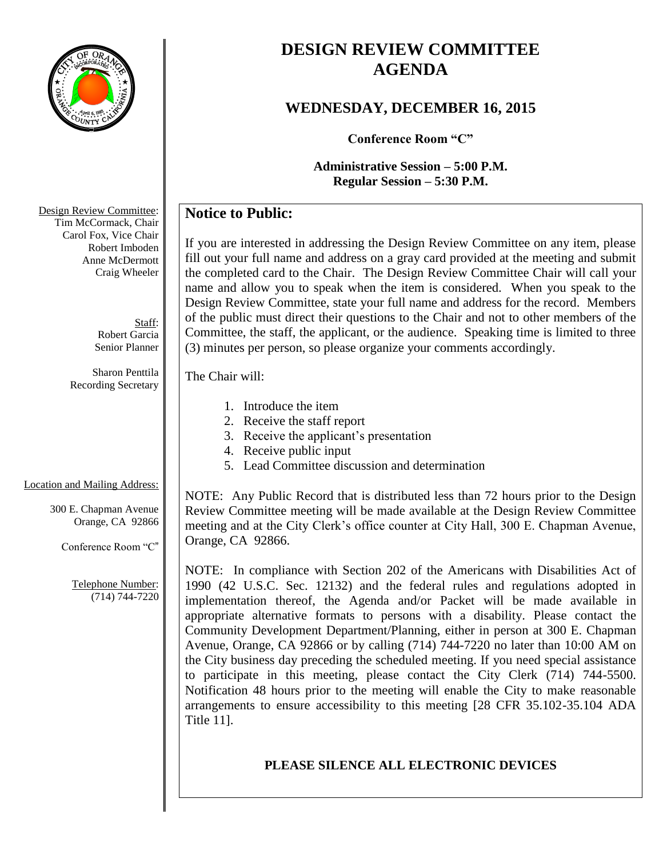

# **DESIGN REVIEW COMMITTEE AGENDA**

## **WEDNESDAY, DECEMBER 16, 2015**

**Conference Room "C"**

**Administrative Session – 5:00 P.M. Regular Session – 5:30 P.M.**

### **Notice to Public:**

If you are interested in addressing the Design Review Committee on any item, please fill out your full name and address on a gray card provided at the meeting and submit the completed card to the Chair. The Design Review Committee Chair will call your name and allow you to speak when the item is considered. When you speak to the Design Review Committee, state your full name and address for the record. Members of the public must direct their questions to the Chair and not to other members of the Committee, the staff, the applicant, or the audience. Speaking time is limited to three (3) minutes per person, so please organize your comments accordingly.

#### The Chair will:

- 1. Introduce the item
- 2. Receive the staff report
- 3. Receive the applicant's presentation
- 4. Receive public input
- 5. Lead Committee discussion and determination

### Location and Mailing Address:

300 E. Chapman Avenue Orange, CA 92866

Conference Room "C"

Telephone Number: (714) 744-7220

NOTE: Any Public Record that is distributed less than 72 hours prior to the Design Review Committee meeting will be made available at the Design Review Committee meeting and at the City Clerk's office counter at City Hall, 300 E. Chapman Avenue, Orange, CA 92866.

NOTE: In compliance with Section 202 of the Americans with Disabilities Act of 1990 (42 U.S.C. Sec. 12132) and the federal rules and regulations adopted in implementation thereof, the Agenda and/or Packet will be made available in appropriate alternative formats to persons with a disability. Please contact the Community Development Department/Planning, either in person at 300 E. Chapman Avenue, Orange, CA 92866 or by calling (714) 744-7220 no later than 10:00 AM on the City business day preceding the scheduled meeting. If you need special assistance to participate in this meeting, please contact the City Clerk (714) 744-5500. Notification 48 hours prior to the meeting will enable the City to make reasonable arrangements to ensure accessibility to this meeting [28 CFR 35.102-35.104 ADA Title 11].

### **PLEASE SILENCE ALL ELECTRONIC DEVICES**

Design Review Committee: Tim McCormack, Chair Carol Fox, Vice Chair Robert Imboden Anne McDermott Craig Wheeler

> Staff: Robert Garcia Senior Planner

Sharon Penttila Recording Secretary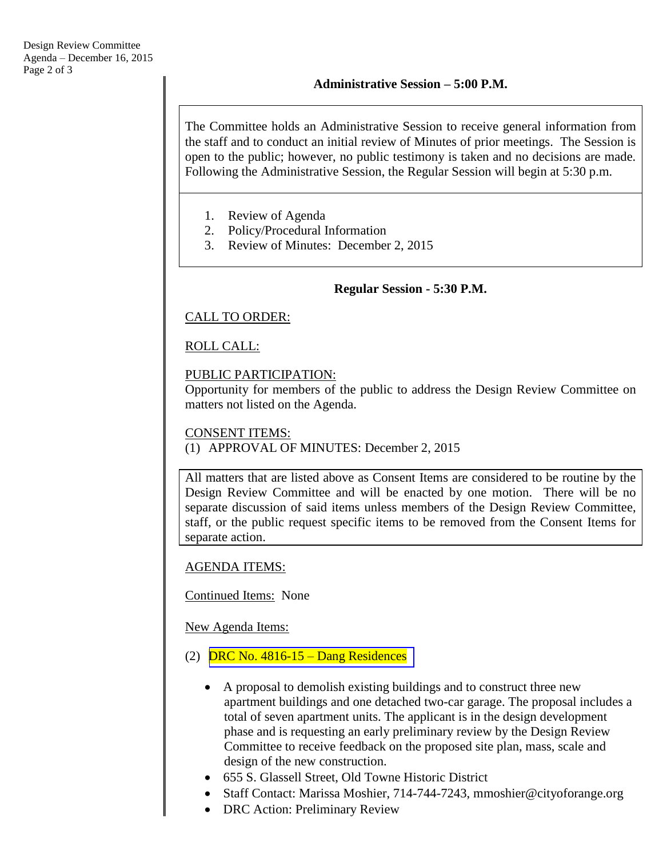The Committee holds an Administrative Session to receive general information from the staff and to conduct an initial review of Minutes of prior meetings. The Session is open to the public; however, no public testimony is taken and no decisions are made. Following the Administrative Session, the Regular Session will begin at 5:30 p.m.

- 1. Review of Agenda
- 2. Policy/Procedural Information
- 3. Review of Minutes: December 2, 2015

#### **Regular Session - 5:30 P.M.**

#### CALL TO ORDER:

### ROLL CALL:

#### PUBLIC PARTICIPATION:

Opportunity for members of the public to address the Design Review Committee on matters not listed on the Agenda.

#### CONSENT ITEMS:

(1) APPROVAL OF MINUTES: December 2, 2015

All matters that are listed above as Consent Items are considered to be routine by the Design Review Committee and will be enacted by one motion. There will be no separate discussion of said items unless members of the Design Review Committee, staff, or the public request specific items to be removed from the Consent Items for separate action.

#### AGENDA ITEMS:

Continued Items: None

New Agenda Items:

### (2) DRC No.  $4816-15 -$ Dang Residences

- A proposal to demolish existing buildings and to construct three new apartment buildings and one detached two-car garage. The proposal includes a total of seven apartment units. The applicant is in the design development phase and is requesting an early preliminary review by the Design Review Committee to receive feedback on the proposed site plan, mass, scale and design of the new construction.
- 655 S. Glassell Street, Old Towne Historic District
- Staff Contact: Marissa Moshier, 714-744-7243, mmoshier@cityoforange.org
- DRC Action: Preliminary Review